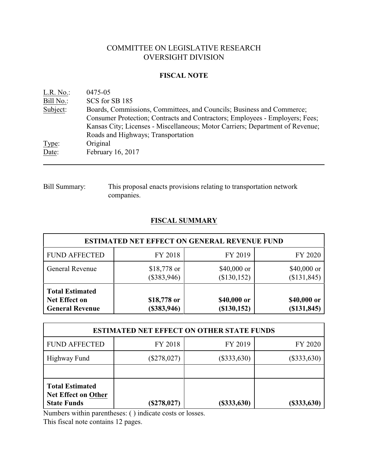# COMMITTEE ON LEGISLATIVE RESEARCH OVERSIGHT DIVISION

### **FISCAL NOTE**

| L.R. No.  | 0475-05                                                                       |
|-----------|-------------------------------------------------------------------------------|
| Bill No.: | SCS for SB 185                                                                |
| Subject:  | Boards, Commissions, Committees, and Councils; Business and Commerce;         |
|           | Consumer Protection; Contracts and Contractors; Employees - Employers; Fees;  |
|           | Kansas City; Licenses - Miscellaneous; Motor Carriers; Department of Revenue; |
|           | Roads and Highways; Transportation                                            |
| Type:     | Original                                                                      |
| Date:     | February 16, 2017                                                             |
|           |                                                                               |

Bill Summary: This proposal enacts provisions relating to transportation network companies.

# **FISCAL SUMMARY**

| <b>ESTIMATED NET EFFECT ON GENERAL REVENUE FUND</b>                      |                               |                            |                              |  |  |
|--------------------------------------------------------------------------|-------------------------------|----------------------------|------------------------------|--|--|
| <b>FUND AFFECTED</b>                                                     | FY 2018                       | FY 2019                    | FY 2020                      |  |  |
| <b>General Revenue</b>                                                   | $$18,778$ or<br>$(\$383,946)$ | \$40,000 or<br>(\$130,152) | \$40,000 or<br>(\$131,845)   |  |  |
| <b>Total Estimated</b><br><b>Net Effect on</b><br><b>General Revenue</b> | \$18,778 or<br>(\$383,946)    | \$40,000 or<br>(\$130,152) | \$40,000 or<br>( \$131, 845) |  |  |

| <b>ESTIMATED NET EFFECT ON OTHER STATE FUNDS</b>                           |               |               |                |  |  |
|----------------------------------------------------------------------------|---------------|---------------|----------------|--|--|
| <b>FUND AFFECTED</b>                                                       | FY 2018       | FY 2019       | FY 2020        |  |  |
| Highway Fund                                                               | $(\$278,027)$ | $(\$333,630)$ | $(\$333,630)$  |  |  |
|                                                                            |               |               |                |  |  |
| <b>Total Estimated</b><br><b>Net Effect on Other</b><br><b>State Funds</b> | $(\$278,027)$ | $(\$333,630)$ | $($ \$333,630) |  |  |

Numbers within parentheses: ( ) indicate costs or losses.

This fiscal note contains 12 pages.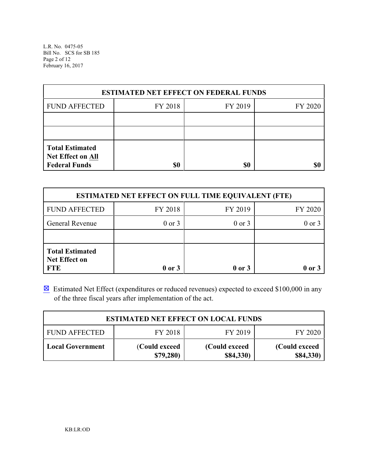L.R. No. 0475-05 Bill No. SCS for SB 185 Page 2 of 12 February 16, 2017

| <b>ESTIMATED NET EFFECT ON FEDERAL FUNDS</b>                        |         |         |         |  |  |
|---------------------------------------------------------------------|---------|---------|---------|--|--|
| <b>FUND AFFECTED</b>                                                | FY 2018 | FY 2019 | FY 2020 |  |  |
|                                                                     |         |         |         |  |  |
|                                                                     |         |         |         |  |  |
| <b>Total Estimated</b><br>Net Effect on All<br><b>Federal Funds</b> | \$0     | \$0     | \$C     |  |  |

| <b>ESTIMATED NET EFFECT ON FULL TIME EQUIVALENT (FTE)</b>    |            |            |            |  |  |
|--------------------------------------------------------------|------------|------------|------------|--|--|
| <b>FUND AFFECTED</b>                                         | FY 2018    | FY 2019    | FY 2020    |  |  |
| General Revenue                                              | $0$ or $3$ | $0$ or $3$ | $0$ or $3$ |  |  |
|                                                              |            |            |            |  |  |
| <b>Total Estimated</b><br><b>Net Effect on</b><br><b>FTE</b> | $0$ or $3$ | $0$ or $3$ | 0 or 3     |  |  |

 $\boxtimes$  Estimated Net Effect (expenditures or reduced revenues) expected to exceed \$100,000 in any of the three fiscal years after implementation of the act.

| <b>ESTIMATED NET EFFECT ON LOCAL FUNDS</b>            |                           |                             |                             |  |  |
|-------------------------------------------------------|---------------------------|-----------------------------|-----------------------------|--|--|
| FY 2019<br>FY 2018<br><b>FUND AFFECTED</b><br>FY 2020 |                           |                             |                             |  |  |
| <b>Local Government</b>                               | (Could exceed<br>\$79,280 | (Could exceed)<br>\$84,330) | (Could exceed)<br>\$84,330) |  |  |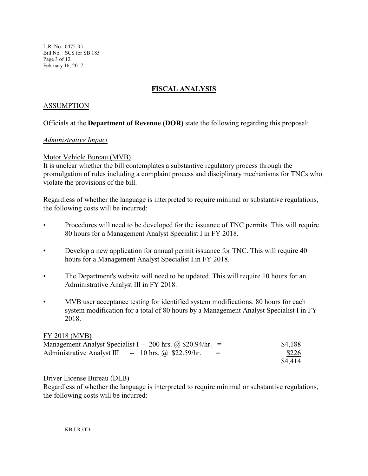L.R. No. 0475-05 Bill No. SCS for SB 185 Page 3 of 12 February 16, 2017

# **FISCAL ANALYSIS**

### ASSUMPTION

# Officials at the **Department of Revenue (DOR)** state the following regarding this proposal:

### *Administrative Impact*

### Motor Vehicle Bureau (MVB)

It is unclear whether the bill contemplates a substantive regulatory process through the promulgation of rules including a complaint process and disciplinary mechanisms for TNCs who violate the provisions of the bill.

Regardless of whether the language is interpreted to require minimal or substantive regulations, the following costs will be incurred:

- Procedures will need to be developed for the issuance of TNC permits. This will require 80 hours for a Management Analyst Specialist I in FY 2018.
- Develop a new application for annual permit issuance for TNC. This will require 40 hours for a Management Analyst Specialist I in FY 2018.
- The Department's website will need to be updated. This will require 10 hours for an Administrative Analyst III in FY 2018.
- MVB user acceptance testing for identified system modifications. 80 hours for each system modification for a total of 80 hours by a Management Analyst Specialist I in FY 2018.

### FY 2018 (MVB)

| Management Analyst Specialist I -- 200 hrs. @ \$20.94/hr. = |          | \$4,188 |
|-------------------------------------------------------------|----------|---------|
| $-$ 10 hrs. @ \$22.59/hr.<br>Administrative Analyst III     | $\equiv$ | \$226   |
|                                                             |          | \$4,414 |

### Driver License Bureau (DLB)

Regardless of whether the language is interpreted to require minimal or substantive regulations, the following costs will be incurred: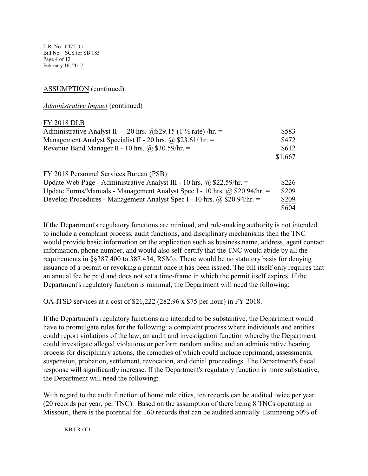L.R. No. 0475-05 Bill No. SCS for SB 185 Page 4 of 12 February 16, 2017

### ASSUMPTION (continued)

*Administrative Impact* (continued)

#### FY 2018 DLB

| Administrative Analyst II -- 20 hrs. @\$29.15 (1 $\frac{1}{2}$ rate) /hr. = | \$583   |
|-----------------------------------------------------------------------------|---------|
| Management Analyst Specialist II - 20 hrs. @ \$23.61/ hr. =                 | \$472   |
| Revenue Band Manager II - 10 hrs. @ \$30.59/hr. $=$                         | \$612   |
|                                                                             | \$1,667 |
|                                                                             |         |
| FY 2018 Personnel Services Bureau (PSB)                                     |         |
| I Indete Web Page - Administrative Analyst III - 10 hrs @ \$22.50 hr =      | ぐつつん    |

| Update Web Page - Administrative Analyst III - 10 hrs. @ \$22.59/hr. =            | \$226 |
|-----------------------------------------------------------------------------------|-------|
| Update Forms/Manuals - Management Analyst Spec I - 10 hrs. $\omega$ \$20.94/hr. = | \$209 |
| Develop Procedures - Management Analyst Spec I - 10 hrs. $\omega$ \$20.94/hr. =   | \$209 |
|                                                                                   | \$604 |

If the Department's regulatory functions are minimal, and rule-making authority is not intended to include a complaint process, audit functions, and disciplinary mechanisms then the TNC would provide basic information on the application such as business name, address, agent contact information, phone number, and would also self-certify that the TNC would abide by all the requirements in §§387.400 to 387.434, RSMo. There would be no statutory basis for denying issuance of a permit or revoking a permit once it has been issued. The bill itself only requires that an annual fee be paid and does not set a time-frame in which the permit itself expires. If the Department's regulatory function is minimal, the Department will need the following:

OA-ITSD services at a cost of \$21,222 (282.96 x \$75 per hour) in FY 2018.

If the Department's regulatory functions are intended to be substantive, the Department would have to promulgate rules for the following: a complaint process where individuals and entities could report violations of the law; an audit and investigation function whereby the Department could investigate alleged violations or perform random audits; and an administrative hearing process for disciplinary actions, the remedies of which could include reprimand, assessments, suspension, probation, settlement, revocation, and denial proceedings. The Department's fiscal response will significantly increase. If the Department's regulatory function is more substantive, the Department will need the following:

With regard to the audit function of home rule cities, ten records can be audited twice per year (20 records per year, per TNC). Based on the assumption of there being 8 TNCs operating in Missouri, there is the potential for 160 records that can be audited annually. Estimating 50% of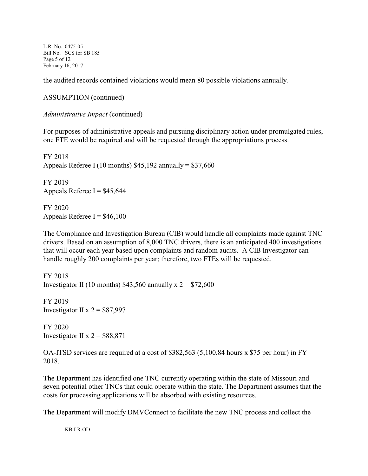L.R. No. 0475-05 Bill No. SCS for SB 185 Page 5 of 12 February 16, 2017

the audited records contained violations would mean 80 possible violations annually.

ASSUMPTION (continued)

*Administrative Impact* (continued)

For purposes of administrative appeals and pursuing disciplinary action under promulgated rules, one FTE would be required and will be requested through the appropriations process.

FY 2018 Appeals Referee I (10 months)  $$45,192$  annually =  $$37,660$ 

FY 2019 Appeals Referee I =  $$45,644$ 

FY 2020 Appeals Referee  $I = $46,100$ 

The Compliance and Investigation Bureau (CIB) would handle all complaints made against TNC drivers. Based on an assumption of 8,000 TNC drivers, there is an anticipated 400 investigations that will occur each year based upon complaints and random audits. A CIB Investigator can handle roughly 200 complaints per year; therefore, two FTEs will be requested.

FY 2018 Investigator II (10 months) \$43,560 annually x  $2 = $72,600$ 

FY 2019 Investigator II x  $2 = $87,997$ 

FY 2020 Investigator II x  $2 = $88,871$ 

OA-ITSD services are required at a cost of \$382,563 (5,100.84 hours x \$75 per hour) in FY 2018.

The Department has identified one TNC currently operating within the state of Missouri and seven potential other TNCs that could operate within the state. The Department assumes that the costs for processing applications will be absorbed with existing resources.

The Department will modify DMVConnect to facilitate the new TNC process and collect the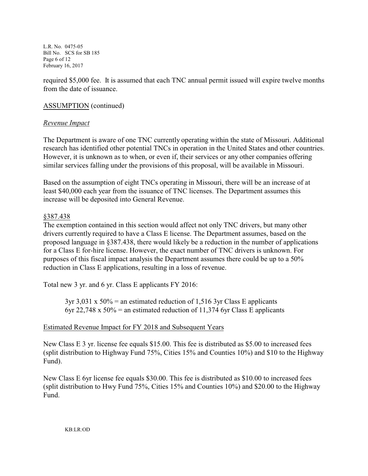L.R. No. 0475-05 Bill No. SCS for SB 185 Page 6 of 12 February 16, 2017

required \$5,000 fee. It is assumed that each TNC annual permit issued will expire twelve months from the date of issuance.

# ASSUMPTION (continued)

### *Revenue Impact*

The Department is aware of one TNC currently operating within the state of Missouri. Additional research has identified other potential TNCs in operation in the United States and other countries. However, it is unknown as to when, or even if, their services or any other companies offering similar services falling under the provisions of this proposal, will be available in Missouri.

Based on the assumption of eight TNCs operating in Missouri, there will be an increase of at least \$40,000 each year from the issuance of TNC licenses. The Department assumes this increase will be deposited into General Revenue.

### §387.438

The exemption contained in this section would affect not only TNC drivers, but many other drivers currently required to have a Class E license. The Department assumes, based on the proposed language in §387.438, there would likely be a reduction in the number of applications for a Class E for-hire license. However, the exact number of TNC drivers is unknown. For purposes of this fiscal impact analysis the Department assumes there could be up to a 50% reduction in Class E applications, resulting in a loss of revenue.

Total new 3 yr. and 6 yr. Class E applicants FY 2016:

 $3yr$  3,031 x  $50\%$  = an estimated reduction of 1,516 3yr Class E applicants 6yr 22,748 x 50% = an estimated reduction of 11,374 6yr Class E applicants

# Estimated Revenue Impact for FY 2018 and Subsequent Years

New Class E 3 yr. license fee equals \$15.00. This fee is distributed as \$5.00 to increased fees (split distribution to Highway Fund 75%, Cities 15% and Counties 10%) and \$10 to the Highway Fund).

New Class E 6yr license fee equals \$30.00. This fee is distributed as \$10.00 to increased fees (split distribution to Hwy Fund 75%, Cities 15% and Counties 10%) and \$20.00 to the Highway Fund.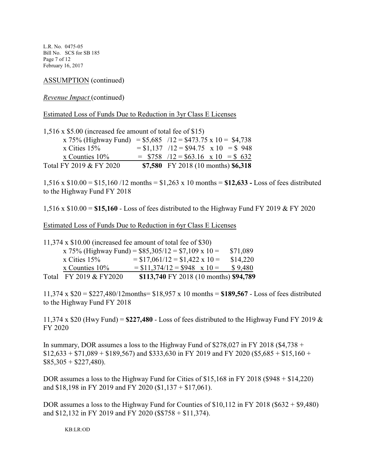L.R. No. 0475-05 Bill No. SCS for SB 185 Page 7 of 12 February 16, 2017

ASSUMPTION (continued)

*Revenue Impact* (continued)

Estimated Loss of Funds Due to Reduction in 3yr Class E Licenses

1,516 x \$5.00 (increased fee amount of total fee of \$15)

| x 75% (Highway Fund) = $$5,685$ /12 = $$473.75 \times 10 = $4,738$ |  |                                       |
|--------------------------------------------------------------------|--|---------------------------------------|
| x Cities $15%$                                                     |  | $= $1,137$ /12 = \$94.75 x 10 = \$948 |
| x Counties $10\%$                                                  |  | $=$ \$758 /12 = \$63.16 x 10 = \$632  |
| Total FY 2019 & FY 2020                                            |  | \$7,580 FY 2018 (10 months) \$6,318   |

1,516 x \$10.00 = \$15,160 /12 months = \$1,263 x 10 months = **\$12,633 -** Loss of fees distributed to the Highway Fund FY 2018

1,516 x \$10.00 = **\$15,160** - Loss of fees distributed to the Highway Fund FY 2019 & FY 2020

Estimated Loss of Funds Due to Reduction in 6yr Class E Licenses

|                        | 11,374 x $$10.00$ (increased fee amount of total fee of \$30) |          |
|------------------------|---------------------------------------------------------------|----------|
|                        | x 75% (Highway Fund) = $$85,305/12 = $7,109 \times 10 =$      | \$71,089 |
| x Cities $15%$         | $= $17,061/12 = $1,422 \times 10 =$                           | \$14,220 |
| $x$ Counties $10\%$    | $= $11,374/12 = $948$ x 10 =                                  | \$9,480  |
| Total FY 2019 & FY2020 | \$113,740 FY 2018 (10 months) \$94,789                        |          |

11,374 x \$20 = \$227,480/12months= \$18,957 x 10 months = **\$189,567** - Loss of fees distributed to the Highway Fund FY 2018

11,374 x \$20 (Hwy Fund) =  $$227,480$  - Loss of fees distributed to the Highway Fund FY 2019  $\&$ FY 2020

In summary, DOR assumes a loss to the Highway Fund of  $$278,027$  in FY 2018 (\$4,738 +  $$12,633 + $71,089 + $189,567$  and \$333,630 in FY 2019 and FY 2020 (\$5,685 + \$15,160 +  $$85,305 + $227,480$ .

DOR assumes a loss to the Highway Fund for Cities of \$15,168 in FY 2018 (\$948 + \$14,220) and \$18,198 in FY 2019 and FY 2020 (\$1,137 + \$17,061).

DOR assumes a loss to the Highway Fund for Counties of \$10,112 in FY 2018 (\$632 + \$9,480) and \$12,132 in FY 2019 and FY 2020 (\$\$758 + \$11,374).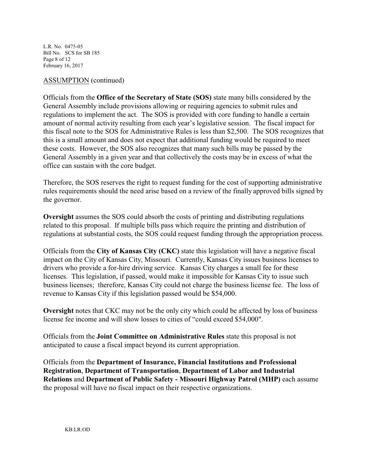L.R. No. 0475-05 Bill No. SCS for SB 185 Page 8 of 12 February 16, 2017

### ASSUMPTION (continued)

Officials from the **Office of the Secretary of State (SOS)** state many bills considered by the General Assembly include provisions allowing or requiring agencies to submit rules and regulations to implement the act. The SOS is provided with core funding to handle a certain amount of normal activity resulting from each year's legislative session. The fiscal impact for this fiscal note to the SOS for Administrative Rules is less than \$2,500. The SOS recognizes that this is a small amount and does not expect that additional funding would be required to meet these costs. However, the SOS also recognizes that many such bills may be passed by the General Assembly in a given year and that collectively the costs may be in excess of what the office can sustain with the core budget.

Therefore, the SOS reserves the right to request funding for the cost of supporting administrative rules requirements should the need arise based on a review of the finally approved bills signed by the governor.

**Oversight** assumes the SOS could absorb the costs of printing and distributing regulations related to this proposal. If multiple bills pass which require the printing and distribution of regulations at substantial costs, the SOS could request funding through the appropriation process.

Officials from the **City of Kansas City (CKC)** state this legislation will have a negative fiscal impact on the City of Kansas City, Missouri. Currently, Kansas City issues business licenses to drivers who provide a for-hire driving service. Kansas City charges a small fee for these licenses. This legislation, if passed, would make it impossible for Kansas City to issue such business licenses; therefore, Kansas City could not charge the business license fee. The loss of revenue to Kansas City if this legislation passed would be \$54,000.

**Oversight** notes that CKC may not be the only city which could be affected by loss of business license fee income and will show losses to cities of "could exceed \$54,000".

Officials from the **Joint Committee on Administrative Rules** state this proposal is not anticipated to cause a fiscal impact beyond its current appropriation.

Officials from the **Department of Insurance, Financial Institutions and Professional Registration**, **Department of Transportation**, **Department of Labor and Industrial Relations** and **Department of Public Safety - Missouri Highway Patrol (MHP)** each assume the proposal will have no fiscal impact on their respective organizations.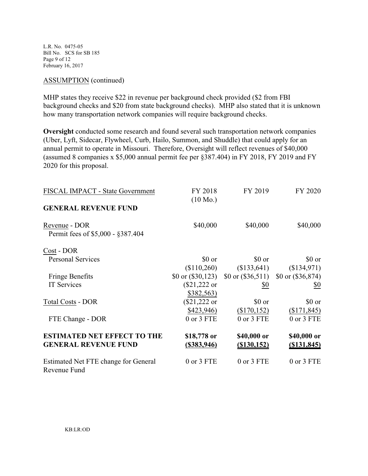L.R. No. 0475-05 Bill No. SCS for SB 185 Page 9 of 12 February 16, 2017

#### ASSUMPTION (continued)

MHP states they receive \$22 in revenue per background check provided (\$2 from FBI background checks and \$20 from state background checks). MHP also stated that it is unknown how many transportation network companies will require background checks.

**Oversight** conducted some research and found several such transportation network companies (Uber, Lyft, Sidecar, Flywheel, Curb, Hailo, Summon, and Shuddle) that could apply for an annual permit to operate in Missouri. Therefore, Oversight will reflect revenues of \$40,000 (assumed 8 companies x \$5,000 annual permit fee per §387.404) in FY 2018, FY 2019 and FY 2020 for this proposal.

| FISCAL IMPACT - State Government                     | FY 2018<br>$(10 \text{ Mo.})$ | FY 2019                                                     | FY 2020                   |
|------------------------------------------------------|-------------------------------|-------------------------------------------------------------|---------------------------|
| <b>GENERAL REVENUE FUND</b>                          |                               |                                                             |                           |
| Revenue - DOR<br>Permit fees of \$5,000 - \$387.404  | \$40,000                      | \$40,000                                                    | \$40,000                  |
| Cost - DOR                                           |                               |                                                             |                           |
| <b>Personal Services</b>                             | \$0 or                        | \$0 or                                                      | \$0 or                    |
|                                                      | (\$110,260)                   |                                                             | $($133,641)$ $($134,971)$ |
| <b>Fringe Benefits</b>                               |                               | \$0 or $(\$30,123)$ \$0 or $(\$36,511)$ \$0 or $(\$36,874)$ |                           |
| <b>IT Services</b>                                   | (\$21,222 or                  | <u>\$0</u>                                                  | \$0                       |
|                                                      | \$382,563)                    |                                                             |                           |
| <b>Total Costs - DOR</b>                             | (\$21,222 or                  | \$0 or                                                      | \$0 or                    |
|                                                      | \$423,946)                    | (\$170,152)                                                 | (\$171,845)               |
| FTE Change - DOR                                     | 0 or 3 FTE                    | 0 or 3 FTE                                                  | 0 or 3 FTE                |
| <b>ESTIMATED NET EFFECT TO THE</b>                   | \$18,778 or                   | \$40,000 or                                                 | \$40,000 or               |
| <b>GENERAL REVENUE FUND</b>                          | (\$383,946)                   | $($ \$130,152)                                              | $($ \$131,845)            |
| Estimated Net FTE change for General<br>Revenue Fund | 0 or 3 FTE                    | 0 or 3 FTE                                                  | 0 or 3 FTE                |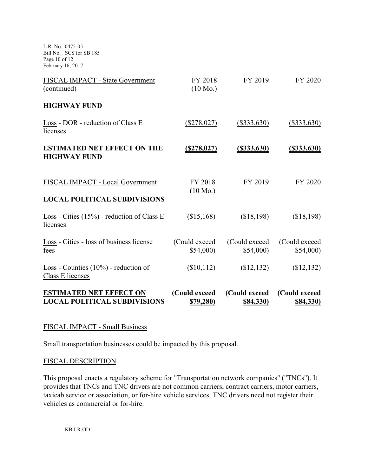L.R. No. 0475-05 Bill No. SCS for SB 185 Page 10 of 12 February 16, 2017

| <b>ESTIMATED NET EFFECT ON</b><br><b>LOCAL POLITICAL SUBDIVISIONS</b>   | (Could exceed<br><u>\$79,280)</u> | (Could exceed<br><u>\$84,330)</u> | (Could exceed<br><b>\$84,330)</b> |
|-------------------------------------------------------------------------|-----------------------------------|-----------------------------------|-----------------------------------|
| Loss - Counties $(10\%)$ - reduction of<br>Class E licenses             | (\$10,112)                        | (\$12,132)                        | (\$12,132)                        |
| Loss - Cities - loss of business license<br>fees                        | (Could exceed<br>\$54,000         | (Could exceed)<br>\$54,000        | (Could exceed)<br>\$54,000        |
| Loss - Cities $(15\%)$ - reduction of Class E<br>licenses               | (\$15,168)                        | (\$18,198)                        | (\$18,198)                        |
| FISCAL IMPACT - Local Government<br><b>LOCAL POLITICAL SUBDIVISIONS</b> | FY 2018<br>$(10 \text{ Mo.})$     | FY 2019                           | FY 2020                           |
| <b>ESTIMATED NET EFFECT ON THE</b><br><b>HIGHWAY FUND</b>               | (S278, 027)                       | $($ \$333,630)                    | $($ \$333,630)                    |
| Loss - DOR - reduction of Class E<br>licenses                           | $(\$278,027)$                     | $(\$333,630)$                     | $(\$333,630)$                     |
| <b>HIGHWAY FUND</b>                                                     |                                   |                                   |                                   |
| FISCAL IMPACT - State Government<br>(continued)                         | FY 2018<br>$(10 \text{ Mo.})$     | FY 2019                           | FY 2020                           |

### FISCAL IMPACT - Small Business

Small transportation businesses could be impacted by this proposal.

### FISCAL DESCRIPTION

This proposal enacts a regulatory scheme for "Transportation network companies" ("TNCs"). It provides that TNCs and TNC drivers are not common carriers, contract carriers, motor carriers, taxicab service or association, or for-hire vehicle services. TNC drivers need not register their vehicles as commercial or for-hire.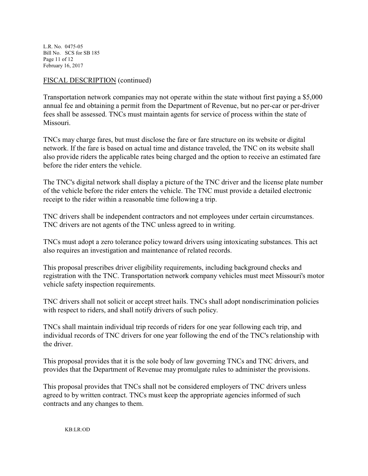L.R. No. 0475-05 Bill No. SCS for SB 185 Page 11 of 12 February 16, 2017

### FISCAL DESCRIPTION (continued)

Transportation network companies may not operate within the state without first paying a \$5,000 annual fee and obtaining a permit from the Department of Revenue, but no per-car or per-driver fees shall be assessed. TNCs must maintain agents for service of process within the state of Missouri.

TNCs may charge fares, but must disclose the fare or fare structure on its website or digital network. If the fare is based on actual time and distance traveled, the TNC on its website shall also provide riders the applicable rates being charged and the option to receive an estimated fare before the rider enters the vehicle.

The TNC's digital network shall display a picture of the TNC driver and the license plate number of the vehicle before the rider enters the vehicle. The TNC must provide a detailed electronic receipt to the rider within a reasonable time following a trip.

TNC drivers shall be independent contractors and not employees under certain circumstances. TNC drivers are not agents of the TNC unless agreed to in writing.

TNCs must adopt a zero tolerance policy toward drivers using intoxicating substances. This act also requires an investigation and maintenance of related records.

This proposal prescribes driver eligibility requirements, including background checks and registration with the TNC. Transportation network company vehicles must meet Missouri's motor vehicle safety inspection requirements.

TNC drivers shall not solicit or accept street hails. TNCs shall adopt nondiscrimination policies with respect to riders, and shall notify drivers of such policy.

TNCs shall maintain individual trip records of riders for one year following each trip, and individual records of TNC drivers for one year following the end of the TNC's relationship with the driver.

This proposal provides that it is the sole body of law governing TNCs and TNC drivers, and provides that the Department of Revenue may promulgate rules to administer the provisions.

This proposal provides that TNCs shall not be considered employers of TNC drivers unless agreed to by written contract. TNCs must keep the appropriate agencies informed of such contracts and any changes to them.